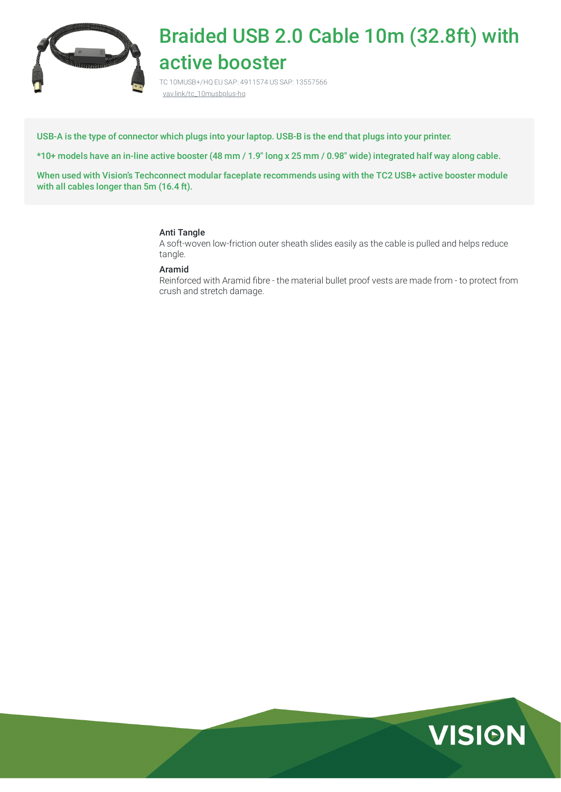

# Braided USB 2.0 Cable 10m (32.8ft) with active booster

TC 10MUSB+/HQ EU SAP: 4911574 US SAP: 13557566 [vav.link/tc\\_10musbplus-hq](https://vav.link/tc_10musbplus-hq)

USB-A is the type of connector which plugs into your laptop. USB-B is the end that plugs into your printer.

\*10+ models have an in-line active booster (48 mm / 1.9″ long x 25 mm / 0.98″ wide) integrated half way along cable.

When used with Vision's Techconnect modular faceplate recommends using with the TC2 USB+ active booster module with all cables longer than 5m (16.4 ft).

## Anti Tangle

A soft-woven low-friction outer sheath slides easily as the cable is pulled and helps reduce tangle.

### Aramid

Reinforced with Aramid fibre - the material bullet proof vests are made from - to protect from crush and stretch damage.